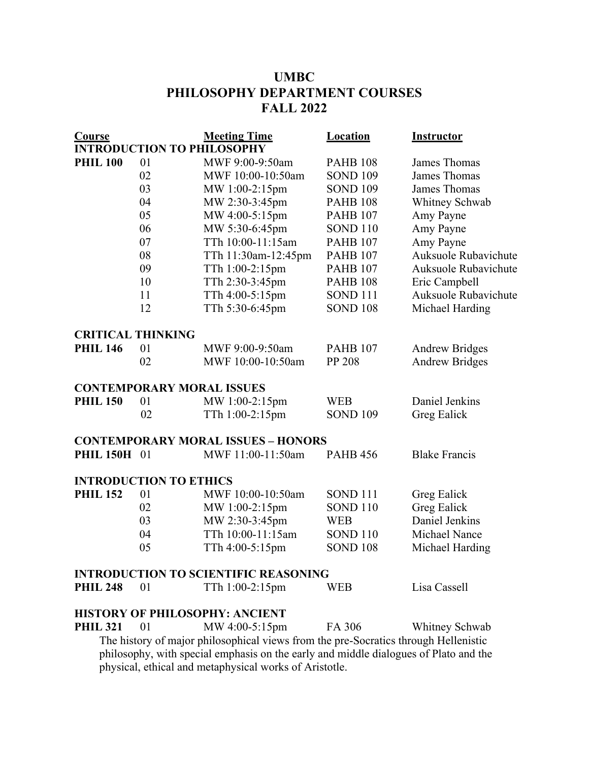# **UMBC PHILOSOPHY DEPARTMENT COURSES FALL 2022**

| <b>Course</b>                                                                        |    | <b>Meeting Time</b>                       | Location            | <b>Instructor</b>           |
|--------------------------------------------------------------------------------------|----|-------------------------------------------|---------------------|-----------------------------|
| <b>INTRODUCTION TO PHILOSOPHY</b>                                                    |    |                                           |                     |                             |
| <b>PHIL 100</b>                                                                      | 01 | MWF 9:00-9:50am                           | <b>PAHB 108</b>     | James Thomas                |
|                                                                                      | 02 | MWF 10:00-10:50am                         | <b>SOND 109</b>     | <b>James Thomas</b>         |
|                                                                                      | 03 | MW 1:00-2:15pm                            | <b>SOND 109</b>     | James Thomas                |
|                                                                                      | 04 | MW 2:30-3:45pm                            | <b>PAHB 108</b>     | Whitney Schwab              |
|                                                                                      | 05 | MW 4:00-5:15pm                            | <b>PAHB 107</b>     | Amy Payne                   |
|                                                                                      | 06 | MW 5:30-6:45pm                            | <b>SOND 110</b>     | Amy Payne                   |
|                                                                                      | 07 | TTh 10:00-11:15am                         | <b>PAHB 107</b>     | Amy Payne                   |
|                                                                                      | 08 | TTh 11:30am-12:45pm                       | <b>PAHB 107</b>     | <b>Auksuole Rubavichute</b> |
|                                                                                      | 09 | TTh 1:00-2:15pm                           | <b>PAHB 107</b>     | Auksuole Rubavichute        |
|                                                                                      | 10 | TTh 2:30-3:45pm                           | <b>PAHB 108</b>     | Eric Campbell               |
|                                                                                      | 11 | TTh 4:00-5:15pm                           | SOND <sub>111</sub> | Auksuole Rubavichute        |
|                                                                                      | 12 | TTh 5:30-6:45pm                           | <b>SOND 108</b>     | Michael Harding             |
| <b>CRITICAL THINKING</b>                                                             |    |                                           |                     |                             |
| <b>PHIL 146</b>                                                                      | 01 | MWF 9:00-9:50am                           | <b>PAHB 107</b>     | <b>Andrew Bridges</b>       |
|                                                                                      | 02 | MWF 10:00-10:50am                         | PP 208              | <b>Andrew Bridges</b>       |
| <b>CONTEMPORARY MORAL ISSUES</b>                                                     |    |                                           |                     |                             |
| <b>PHIL 150</b>                                                                      | 01 | MW 1:00-2:15pm                            | <b>WEB</b>          | Daniel Jenkins              |
|                                                                                      | 02 | TTh 1:00-2:15pm                           | <b>SOND 109</b>     | Greg Ealick                 |
|                                                                                      |    | <b>CONTEMPORARY MORAL ISSUES - HONORS</b> |                     |                             |
| <b>PHIL 150H</b>                                                                     | 01 | MWF 11:00-11:50am                         | <b>PAHB 456</b>     | <b>Blake Francis</b>        |
| <b>INTRODUCTION TO ETHICS</b>                                                        |    |                                           |                     |                             |
| <b>PHIL 152</b>                                                                      | 01 | MWF 10:00-10:50am                         | SOND <sub>111</sub> | Greg Ealick                 |
|                                                                                      | 02 | MW 1:00-2:15pm                            | SOND <sub>110</sub> | Greg Ealick                 |
|                                                                                      | 03 | MW 2:30-3:45pm                            | <b>WEB</b>          | Daniel Jenkins              |
|                                                                                      | 04 | TTh 10:00-11:15am                         | <b>SOND 110</b>     | Michael Nance               |
|                                                                                      | 05 | TTh 4:00-5:15pm                           | <b>SOND 108</b>     | Michael Harding             |
| <b>INTRODUCTION TO SCIENTIFIC REASONING</b>                                          |    |                                           |                     |                             |
| <b>PHIL 248</b>                                                                      | 01 | TTh 1:00-2:15pm                           | <b>WEB</b>          | Lisa Cassell                |
|                                                                                      |    | <b>HISTORY OF PHILOSOPHY: ANCIENT</b>     |                     |                             |
| <b>PHIL 321</b>                                                                      | 01 | MW 4:00-5:15pm                            | FA 306              | Whitney Schwab              |
| The history of major philosophical views from the pre-Socratics through Hellenistic  |    |                                           |                     |                             |
| philosophy, with special emphasis on the early and middle dialogues of Plato and the |    |                                           |                     |                             |
| physical, ethical and metaphysical works of Aristotle.                               |    |                                           |                     |                             |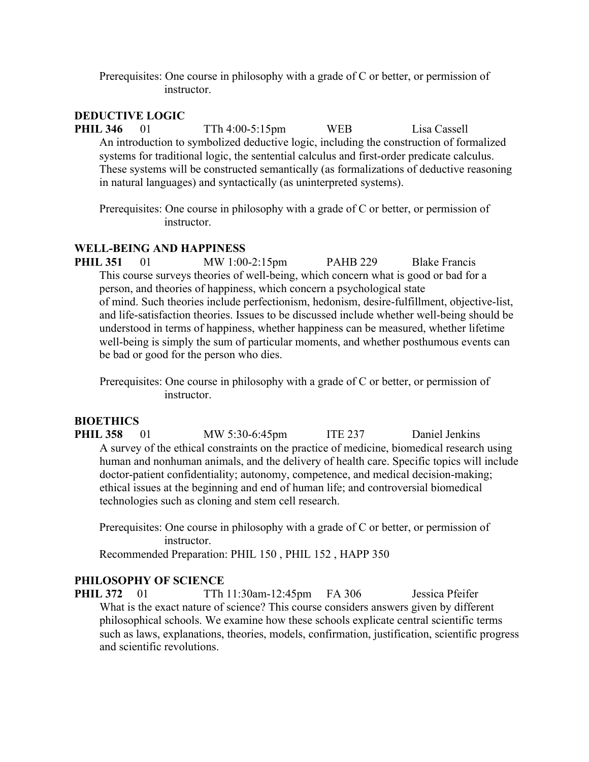Prerequisites: One course in philosophy with a grade of C or better, or permission of instructor.

## **DEDUCTIVE LOGIC**

**PHIL 346** 01 TTh 4:00-5:15pm WEB Lisa Cassell An introduction to symbolized deductive logic, including the construction of formalized systems for traditional logic, the sentential calculus and first-order predicate calculus. These systems will be constructed semantically (as formalizations of deductive reasoning in natural languages) and syntactically (as uninterpreted systems).

Prerequisites: One course in philosophy with a grade of C or better, or permission of instructor.

#### **WELL-BEING AND HAPPINESS**

**PHIL 351** 01 MW 1:00-2:15pm PAHB 229 Blake Francis This course surveys theories of well-being, which concern what is good or bad for a person, and theories of happiness, which concern a psychological state of mind. Such theories include perfectionism, hedonism, desire-fulfillment, objective-list, and life-satisfaction theories. Issues to be discussed include whether well-being should be understood in terms of happiness, whether happiness can be measured, whether lifetime well-being is simply the sum of particular moments, and whether posthumous events can be bad or good for the person who dies.

Prerequisites: One course in philosophy with a grade of C or better, or permission of instructor.

## **BIOETHICS**

**PHIL 358** 01 MW 5:30-6:45pm ITE 237 Daniel Jenkins A survey of the ethical constraints on the practice of medicine, biomedical research using human and nonhuman animals, and the delivery of health care. Specific topics will include doctor-patient confidentiality; autonomy, competence, and medical decision-making; ethical issues at the beginning and end of human life; and controversial biomedical technologies such as cloning and stem cell research.

Prerequisites: One course in philosophy with a grade of C or better, or permission of instructor.

Recommended Preparation: PHIL 150 , PHIL 152 , HAPP 350

#### **PHILOSOPHY OF SCIENCE**

**PHIL 372** 01 TTh 11:30am-12:45pm FA 306 Jessica Pfeifer What is the exact nature of science? This course considers answers given by different philosophical schools. We examine how these schools explicate central scientific terms such as laws, explanations, theories, models, confirmation, justification, scientific progress and scientific revolutions.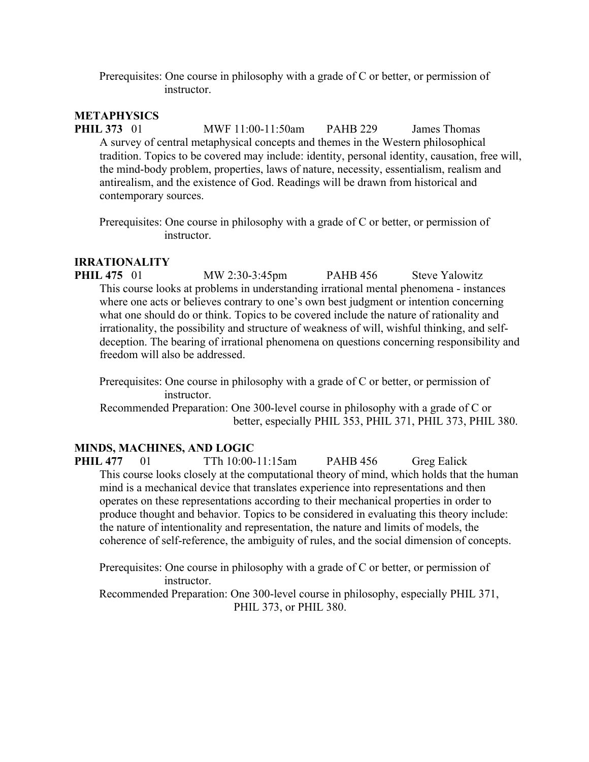Prerequisites: One course in philosophy with a grade of C or better, or permission of instructor.

## **METAPHYSICS**

**PHIL 373** 01 MWF 11:00-11:50am PAHB 229 James Thomas A survey of central metaphysical concepts and themes in the Western philosophical tradition. Topics to be covered may include: identity, personal identity, causation, free will, the mind-body problem, properties, laws of nature, necessity, essentialism, realism and antirealism, and the existence of God. Readings will be drawn from historical and contemporary sources.

Prerequisites: One course in philosophy with a grade of C or better, or permission of instructor.

## **IRRATIONALITY**

**PHIL 475** 01 MW 2:30-3:45pm PAHB 456 Steve Yalowitz This course looks at problems in understanding irrational mental phenomena - instances where one acts or believes contrary to one's own best judgment or intention concerning what one should do or think. Topics to be covered include the nature of rationality and irrationality, the possibility and structure of weakness of will, wishful thinking, and selfdeception. The bearing of irrational phenomena on questions concerning responsibility and freedom will also be addressed.

Prerequisites: One course in philosophy with a grade of C or better, or permission of instructor.

Recommended Preparation: One 300-level course in philosophy with a grade of C or better, especially PHIL 353, PHIL 371, PHIL 373, PHIL 380.

## **MINDS, MACHINES, AND LOGIC**

**PHIL 477** 01 TTh 10:00-11:15am PAHB 456 Greg Ealick This course looks closely at the computational theory of mind, which holds that the human mind is a mechanical device that translates experience into representations and then operates on these representations according to their mechanical properties in order to produce thought and behavior. Topics to be considered in evaluating this theory include: the nature of intentionality and representation, the nature and limits of models, the coherence of self-reference, the ambiguity of rules, and the social dimension of concepts.

Prerequisites: One course in philosophy with a grade of C or better, or permission of instructor.

Recommended Preparation: One 300-level course in philosophy, especially PHIL 371, PHIL 373, or PHIL 380.